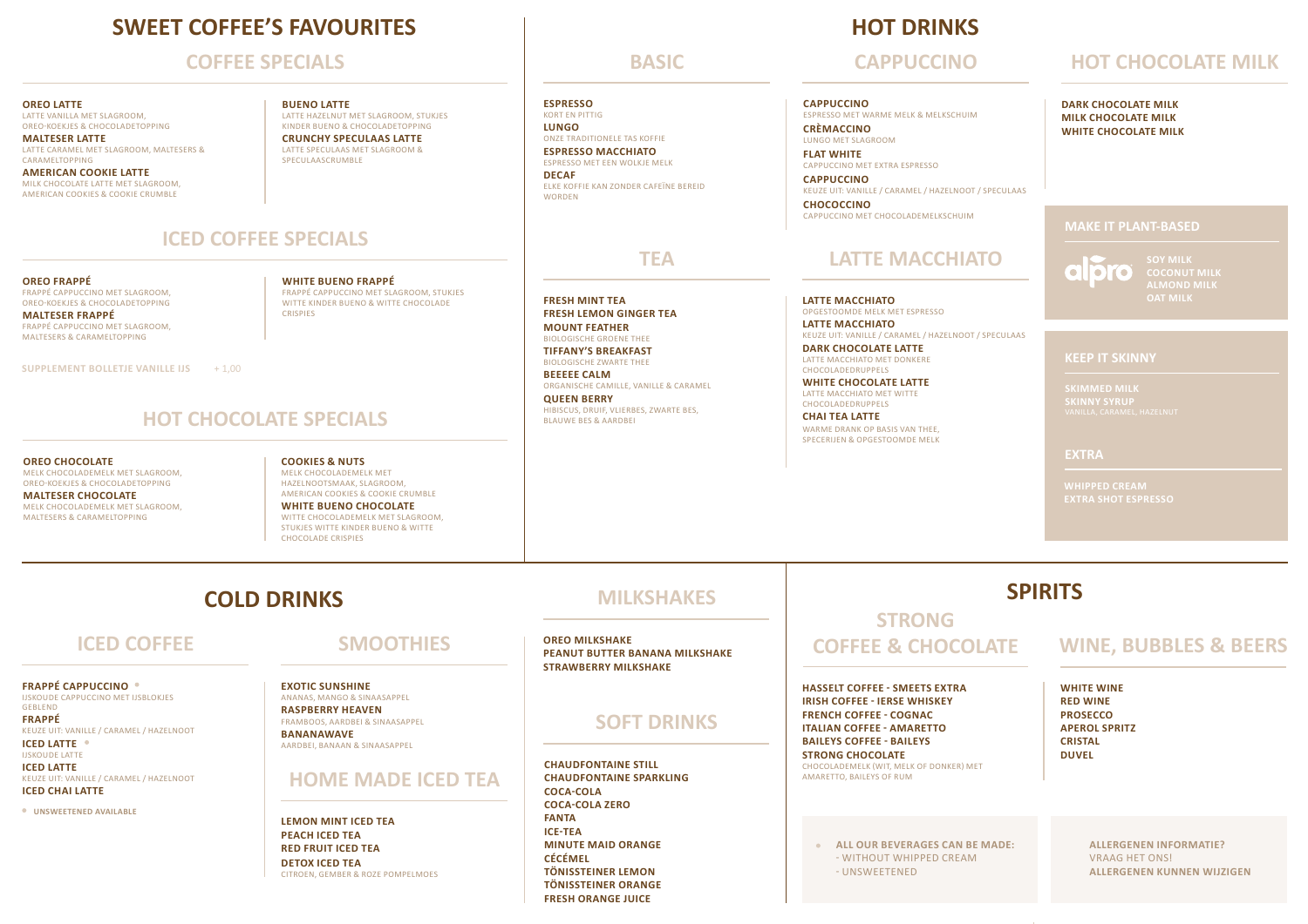## **SWEET COFFEE'S FAVOURITES**

#### **COFFEE SPECIALS**

#### **OREO LATTE**

LATTE VANILLA MET SLAGROOM, OREO-KOEKJES & CHOCOLADETOPPING **MALTESER LATTE** 

LATTE CARAMEL MET SLAGROOM, MALTESERS & **CARAMELTOPPING AMERICAN COOKIE LATTE** 

MILK CHOCOLATE LATTE MET SLAGROOM, AMERICAN COOKIES & COOKIE CRUMBLE

#### **BUENO LATTE**  LATTE HAZELNUT MET SLAGROOM, STUKJES KINDER BUENO & CHOCOLADETOPPING

**CRUNCHY SPECULAAS LATTE**  LATTE SPECULAAS MET SLAGROOM & SPECULAASCRUMBLE

### **ICED COFFEE SPECIALS**

**OREO FRAPPÉ** FRAPPÉ CAPPUCCINO MET SLAGROOM, OREO-KOEKJES & CHOCOLADETOPPING **MALTESER FRAPPÉ** FRAPPÉ CAPPUCCINO MET SLAGROOM, MALTESERS & CARAMELTOPPING

**WHITE BUENO FRAPPÉ**  FRAPPÉ CAPPUCCINO MET SLAGROOM, STUKJES WITTE KINDER BUENO & WITTE CHOCOLADE CRISPIES

**SUPPLEMENT BOLLETJE VANILLE IJS** + 1,00

#### **HOT CHOCOLATE SPECIALS**

**OREO CHOCOLATE**  MELK CHOCOLADEMELK MET SLAGROOM, OREO-KOEKJES & CHOCOLADETOPPING **MALTESER CHOCOLATE**

MELK CHOCOLADEMELK MET SLAGROOM, MALTESERS & CARAMELTOPPING

**COOKIES & NUTS** MELK CHOCOLADEMELK MET HAZELNOOTSMAAK, SLAGROOM, AMERICAN COOKIES & COOKIE CRUMBLE **WHITE BUENO CHOCOLATE**  WITTE CHOCOLADEMELK MET SLAGROOM STUKJES WITTE KINDER BUENO & WITTE CHOCOLADE CRISPIES

**ESPRESSO**

KORT EN PITTIG **LUNGO** ONZE TRADITIONELE TAS KOFFIE **ESPRESSO MACCHIATO**

ESPRESSO MET EEN WOLKJE MELK **DECAF** ELKE KOFFIE KAN ZONDER CAFEÏNE BEREID **WORDEN** 

**FRESH MINT TEA FRESH LEMON GINGER TEA MOUNT FEATHER**  BIOLOGISCHE GROENE THEE **TIFFANY'S BREAKFAST**  BIOLOGISCHE ZWARTE THEE

**BEEEEE CALM**  ORGANISCHE CAMILLE, VANILLE & CARAMEL **QUEEN BERRY**  HIBISCUS, DRUIF, VLIERBES, ZWARTE BES, BLAUWE BES & AARDBEI

**HOT DRINKS**

#### **BASIC CAPPUCCINO HOT CHOCOLATE MILK**

#### **CAPPUCCINO**

ESPRESSO MET WARME MELK & MELKSCHUIM **CRÈMACCINO**

LUNGO MET SLAGROOM **FLAT WHITE** CAPPUCCINO MET EXTRA ESPRESSO

**CAPPUCCINO** KEUZE UIT: VANILLE / CARAMEL / HAZELNOOT / SPECULAAS **CHOCOCCINO** CAPPUCCINO MET CHOCOLADEMELKSCHUIM

### **TEA LATTE MACCHIATO**

**LATTE MACCHIATO** OPGESTOOMDE MELK MET ESPRESSO **LATTE MACCHIATO** KEUZE UIT: VANILLE / CARAMEL / HAZELNOOT / SPECULAAS

**DARK CHOCOLATE LATTE** LATTE MACCHIATO MET DONKERE CHOCOLADEDRUPPELS

**WHITE CHOCOLATE LATTE** LATTE MACCHIATO MET WITTE CHOCOLADEDRUPPELS **CHAI TEA LATTE**

WARME DRANK OP BASIS VAN THEE, SPECERIJEN & OPGESTOOMDE MELK

**KEEP IT SKINNY**

**EXTRA**

**WHIPPED CREAM**

# **COLD DRINKS SPIRITS MILKSHAKES SPIRITS**

### **ICED COFFEE**

**FRAPPÉ CAPPUCCINO**  IJSKOUDE CAPPUCCINO MET IJSBLOKJES KEUZE UIT: VANILLE / CARAMEL / HAZELNOOT

**ICED LATTE** IJSKOUDE LATTE **ICED LATTE** 

KEUZE UIT: VANILLE / CARAMEL / HAZELNOOT **ICED CHAI LATTE**

**UNSWEETENED AVAILABLE** 

GEBLEND **FRAPPÉ** 

## **SMOOTHIES**

**EXOTIC SUNSHINE**  ANANAS, MANGO & SINAASAPPEL **RASPBERRY HEAVEN**  FRAMBOOS, AARDBEI & SINAASAPPEL **BANANAWAVE**  AARDBEI, BANAAN & SINAASAPPEL

#### **HOME MADE ICED TEA**

**LEMON MINT ICED TEA PEACH ICED TEA RED FRUIT ICED TEA DETOX ICED TEA**  CITROEN, GEMBER & ROZE POMPELMOES

### **MILKSHAKES**

**OREO MILKSHAKE PEANUT BUTTER BANANA MILKSHAKE STRAWBERRY MILKSHAKE**

#### **SOFT DRINKS**

**CHAUDFONTAINE STILL CHAUDFONTAINE SPARKLING COCA-COLA COCA-COLA ZERO FANTA ICE-TEA MINUTE MAID ORANGE CÉCÉMEL TÖNISSTEINER LEMON TÖNISSTEINER ORANGE FRESH ORANGE JUICE**

### **STRONG COFFEE & CHOCOLATE**

**HASSELT COFFEE - SMEETS EXTRA IRISH COFFEE - IERSE WHISKEY FRENCH COFFEE - COGNAC ITALIAN COFFEE - AMARETTO BAILEYS COFFEE - BAILEYS** 

**STRONG CHOCOLATE**  CHOCOLADEMELK (WIT, MELK OF DONKER) MET AMARETTO, BAILEYS OF RUM

#### **WINE, BUBBLES & BEERS**

**WHITE WINE RED WINE PROSECCO APEROL SPRITZ CRISTAL DUVEL**

**ALL OUR BEVERAGES CAN BE MADE:** - WITHOUT WHIPPED CREAM - UNSWEETENED

**ALLERGENEN INFORMATIE?**  VRAAG HET ONS! **ALLERGENEN KUNNEN WIJZIGEN**

**MAKE IT PLANT-BASED**

**DARK CHOCOLATE MILK MILK CHOCOLATE MILK WHITE CHOCOLATE MILK**

 $\overline{\phantom{0}}$ l ol **CO ALMOND MILK OAT MILK**